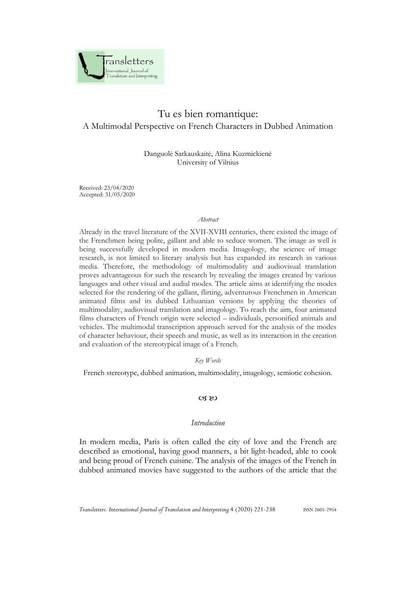

# Tu es bien romantique: A Multimodal Perspective on French Characters in Dubbed Animation

Danguolė Satkauskaitė, Alina Kuzmickienė University of Vilnius

Received: 23/04/2020 Accepted: 31/05/2020

#### *Abstract*

Already in the travel literature of the XVII-XVIII centuries, there existed the image of the Frenchmen being polite, gallant and able to seduce women. The image as well is being successfully developed in modern media. Imagology, the science of image research, is not limited to literary analysis but has expanded its research in various media. Therefore, the methodology of multimodality and audiovisual translation proves advantageous for such the research by revealing the images created by various languages and other visual and audial modes. The article aims at identifying the modes selected for the rendering of the gallant, flirting, adventurous Frenchmen in American animated films and its dubbed Lithuanian versions by applying the theories of multimodality, audiovisual translation and imagology. To reach the aim, four animated films characters of French origin were selected – individuals, personified animals and vehicles. The multimodal transcription approach served for the analysis of the modes of character behaviour, their speech and music, as well as its interaction in the creation and evaluation of the stereotypical image of a French.

*Key Words*

French stereotype, dubbed animation, multimodality, imagology, semiotic cohesion.

#### $CZ$  &  $CZ$

### *Introduction*

In modern media, Paris is often called the city of love and the French are described as emotional, having good manners, a bit light-headed, able to cook and being proud of French cuisine. The analysis of the images of the French in dubbed animated movies have suggested to the authors of the article that the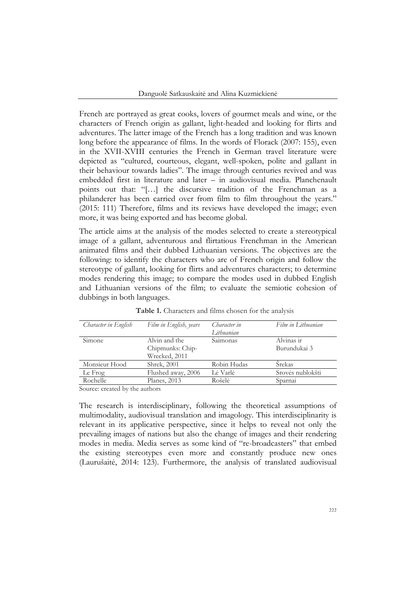French are portrayed as great cooks, lovers of gourmet meals and wine, or the characters of French origin as gallant, light-headed and looking for flirts and adventures. The latter image of the French has a long tradition and was known long before the appearance of films. In the words of Florack (2007: 155), even in the XVII-XVIII centuries the French in German travel literature were depicted as "cultured, courteous, elegant, well-spoken, polite and gallant in their behaviour towards ladies". The image through centuries revived and was embedded first in literature and later – in audiovisual media. Planchenault points out that: "[…] the discursive tradition of the Frenchman as a philanderer has been carried over from film to film throughout the years." (2015: 111) Therefore, films and its reviews have developed the image; even more, it was being exported and has become global.

The article aims at the analysis of the modes selected to create a stereotypical image of a gallant, adventurous and flirtatious Frenchman in the American animated films and their dubbed Lithuanian versions. The objectives are the following: to identify the characters who are of French origin and follow the stereotype of gallant, looking for flirts and adventures characters; to determine modes rendering this image; to compare the modes used in dubbed English and Lithuanian versions of the film; to evaluate the semiotic cohesion of dubbings in both languages.

| Character in English                    | Film in English, years | Character in | Film in Lithuanian |
|-----------------------------------------|------------------------|--------------|--------------------|
|                                         |                        | Lithuanian   |                    |
| Simone                                  | Alvin and the          | Saimonas     | Alvinas ir         |
|                                         | Chipmunks: Chip-       |              | Burundukai 3       |
|                                         | Wrecked, 2011          |              |                    |
| Monsieur Hood                           | Shrek, 2001            | Robin Hudas  | Srekas             |
| Le Frog                                 | Flushed away, 2006     | Lė Varlė     | Srovės nublokšti   |
| Rochelle                                | Planes, 2013           | Rošelė       | Sparnai            |
| $\mathcal{C}$ and $\mathcal{C}$<br>11.1 | $\cdot$ 1              |              |                    |

**Table 1.** Characters and films chosen for the analysis

Source: created by the authors

The research is interdisciplinary, following the theoretical assumptions of multimodality, audiovisual translation and imagology. This interdisciplinarity is relevant in its applicative perspective, since it helps to reveal not only the prevailing images of nations but also the change of images and their rendering modes in media. Media serves as some kind of "re-broadcasters" that embed the existing stereotypes even more and constantly produce new ones (Laurušaitė, 2014: 123). Furthermore, the analysis of translated audiovisual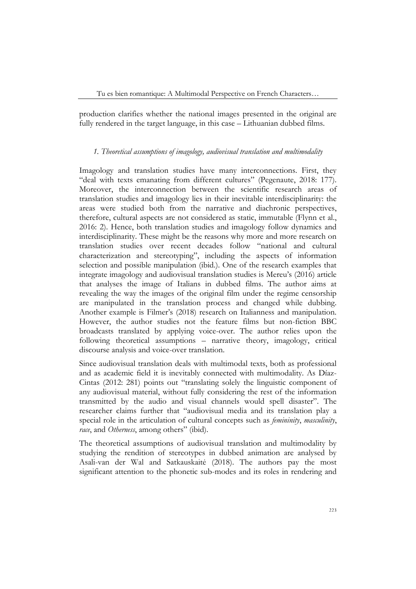production clarifies whether the national images presented in the original are fully rendered in the target language, in this case – Lithuanian dubbed films.

## *1. Theoretical assumptions of imagology, audiovisual translation and multimodality*

Imagology and translation studies have many interconnections. First, they "deal with texts emanating from different cultures" (Pegenaute, 2018: 177). Moreover, the interconnection between the scientific research areas of translation studies and imagology lies in their inevitable interdisciplinarity: the areas were studied both from the narrative and diachronic perspectives, therefore, cultural aspects are not considered as static, immutable (Flynn et al., 2016: 2). Hence, both translation studies and imagology follow dynamics and interdisciplinarity. These might be the reasons why more and more research on translation studies over recent decades follow "national and cultural characterization and stereotyping", including the aspects of information selection and possible manipulation (ibid.). One of the research examples that integrate imagology and audiovisual translation studies is Mereu's (2016) article that analyses the image of Italians in dubbed films. The author aims at revealing the way the images of the original film under the regime censorship are manipulated in the translation process and changed while dubbing. Another example is Filmer's (2018) research on Italianness and manipulation. However, the author studies not the feature films but non-fiction BBC broadcasts translated by applying voice-over. The author relies upon the following theoretical assumptions – narrative theory, imagology, critical discourse analysis and voice-over translation.

Since audiovisual translation deals with multimodal texts, both as professional and as academic field it is inevitably connected with multimodality. As Díaz-Cintas (2012: 281) points out "translating solely the linguistic component of any audiovisual material, without fully considering the rest of the information transmitted by the audio and visual channels would spell disaster". The researcher claims further that "audiovisual media and its translation play a special role in the articulation of cultural concepts such as *femininity*, *masculinity*, *race*, and *Otherness*, among others" (ibid).

The theoretical assumptions of audiovisual translation and multimodality by studying the rendition of stereotypes in dubbed animation are analysed by Asali-van der Wal and Satkauskaitė (2018). The authors pay the most significant attention to the phonetic sub-modes and its roles in rendering and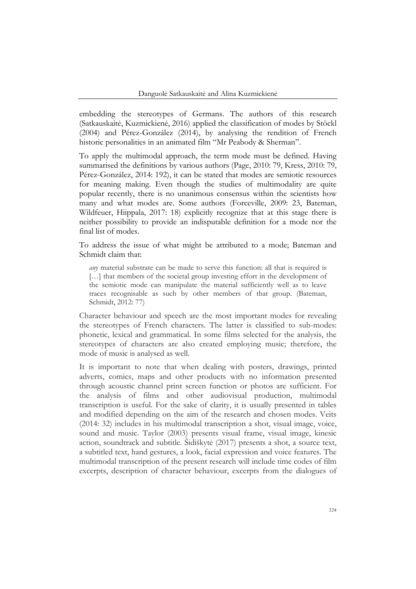embedding the stereotypes of Germans. The authors of this research (Satkauskaitė, Kuzmickienė, 2016) applied the classification of modes by Stöckl (2004) and Pérez-González (2014), by analysing the rendition of French historic personalities in an animated film "Mr Peabody & Sherman".

To apply the multimodal approach, the term mode must be defined. Having summarised the definitions by various authors (Page, 2010: 79, Kress, 2010: 79, Pérez-González, 2014: 192), it can be stated that modes are semiotic resources for meaning making. Even though the studies of multimodality are quite popular recently, there is no unanimous consensus within the scientists how many and what modes are. Some authors (Forceville, 2009: 23, Bateman, Wildfeuer, Hiippala, 2017: 18) explicitly recognize that at this stage there is neither possibility to provide an indisputable definition for a mode nor the final list of modes.

To address the issue of what might be attributed to a mode; Bateman and Schmidt claim that:

*any* material substrate can be made to serve this function: all that is required is […] that members of the societal group investing effort in the development of the semiotic mode can manipulate the material sufficiently well as to leave traces recognisable as such by other members of that group. (Bateman, Schmidt, 2012: 77)

Character behaviour and speech are the most important modes for revealing the stereotypes of French characters. The latter is classified to sub-modes: phonetic, lexical and grammatical. In some films selected for the analysis, the stereotypes of characters are also created employing music; therefore, the mode of music is analysed as well.

It is important to note that when dealing with posters, drawings, printed adverts, comics, maps and other products with no information presented through acoustic channel print screen function or photos are sufficient. For the analysis of films and other audiovisual production, multimodal transcription is useful. For the sake of clarity, it is usually presented in tables and modified depending on the aim of the research and chosen modes. Veits (2014: 32) includes in his multimodal transcription a shot, visual image, voice, sound and music. Taylor (2003) presents visual frame, visual image, kinesic action, soundtrack and subtitle. Šidiškytė (2017) presents a shot, a source text, a subtitled text, hand gestures, a look, facial expression and voice features. The multimodal transcription of the present research will include time codes of film excerpts, description of character behaviour, excerpts from the dialogues of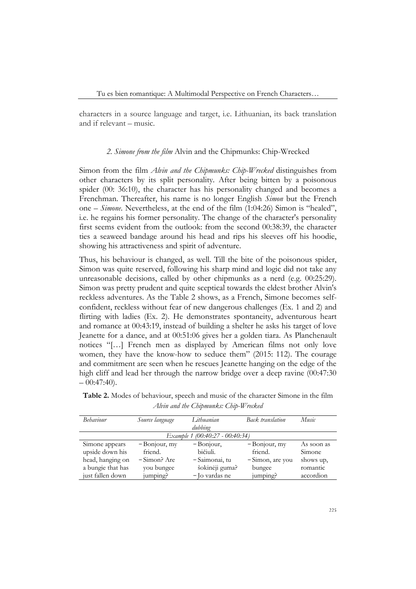characters in a source language and target, i.e. Lithuanian, its back translation and if relevant – music.

## *2. Simone from the film* Alvin and the Chipmunks: Chip-Wrecked

Simon from the film *Alvin and the Chipmunks: Chip-Wrecked* distinguishes from other characters by its split personality. After being bitten by a poisonous spider (00: 36:10), the character has his personality changed and becomes a Frenchman. Thereafter, his name is no longer English *Simon* but the French one – *Simone*. Nevertheless, at the end of the film (1:04:26) Simon is "healed", i.e. he regains his former personality. The change of the character's personality first seems evident from the outlook: from the second 00:38:39, the character ties a seaweed bandage around his head and rips his sleeves off his hoodie, showing his attractiveness and spirit of adventure.

Thus, his behaviour is changed, as well. Till the bite of the poisonous spider, Simon was quite reserved, following his sharp mind and logic did not take any unreasonable decisions, called by other chipmunks as a nerd (e.g. 00:25:29). Simon was pretty prudent and quite sceptical towards the eldest brother Alvin's reckless adventures. As the Table 2 shows, as a French, Simone becomes selfconfident, reckless without fear of new dangerous challenges (Ex. 1 and 2) and flirting with ladies (Ex. 2). He demonstrates spontaneity, adventurous heart and romance at 00:43:19, instead of building a shelter he asks his target of love Jeanette for a dance, and at 00:51:06 gives her a golden tiara. As Planchenault notices "[…] French men as displayed by American films not only love women, they have the know-how to seduce them" (2015: 112). The courage and commitment are seen when he rescues Jeanette hanging on the edge of the high cliff and lead her through the narrow bridge over a deep ravine (00:47:30  $-00:47:40$ ).

| Behaviour         | Source language | Lithuanian                      | <b>Back</b> translation | Music      |
|-------------------|-----------------|---------------------------------|-------------------------|------------|
|                   |                 | dubbing                         |                         |            |
|                   |                 | Example 1 (00:40:27 - 00:40:34) |                         |            |
| Simone appears    | $-$ Bonjour, my | $-$ Bonjour,                    | $-$ Bonjour, my         | As soon as |
| upside down his   | friend.         | bičiuli.                        | friend.                 | Simone     |
| head, hanging on  | -Simon? Are     | - Saimonai, tu                  | -Simon, are you         | shows up,  |
| a bungie that has | you bungee      | šokinėji guma?                  | bungee                  | romantic   |
| just fallen down  | jumping?        | - Jo vardas ne                  | jumping?                | accordion  |

**Table 2.** Modes of behaviour, speech and music of the character Simone in the film *Alvin and the Chipmunks: Chip-Wrecked*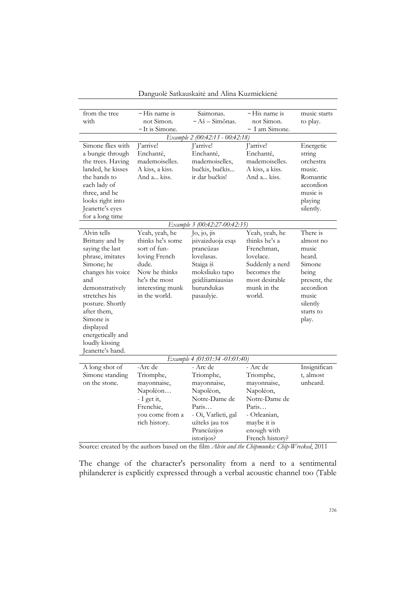| from the tree     | - His name is    | Saimonas.                         | - His name is   | music starts |
|-------------------|------------------|-----------------------------------|-----------------|--------------|
| with              | not Simon.       | $-A\check{s} - Sim\tilde{o}$ nas. | not Simon.      | to play.     |
|                   | $-It$ is Simone. |                                   | - I am Simone.  |              |
|                   |                  | Example 2 (00:42:13 - 00:42:18)   |                 |              |
| Simone flies with | J'arrive!        | J'arrive!                         | J'arrive!       | Energetic    |
| a bungie through  | Enchanté,        | Enchanté,                         | Enchanté,       | string       |
| the trees. Having | mademoiselles.   | mademoiselles,                    | mademoiselles.  | orchestra    |
| landed, he kisses | A kiss, a kiss.  | bučkis, bučkis                    | A kiss, a kiss. | music.       |
| the hands to      | And a kiss.      | ir dar bučkis!                    | And a kiss.     | Romantic     |
| each lady of      |                  |                                   |                 | accordion    |
| three, and he     |                  |                                   |                 | music is     |
| looks right into  |                  |                                   |                 | playing      |
| Jeanette's eyes   |                  |                                   |                 | silently.    |
| for a long time   |                  |                                   |                 |              |
|                   |                  | Example 3 (00:42:27-00:42:35)     |                 |              |
| Alvin tells       | Yeah, yeah, he   | Jo, jo, jis                       | Yeah, yeah, he  | There is     |
| Brittany and by   | thinks he's some | įsivaizduoja esąs                 | thinks he's a   | almost no    |
| saying the last   | sort of fun-     | prancūzas                         | Frenchman,      | music        |
| phrase, imitates  | loving French    | lovelasas.                        | lovelace.       | heard.       |
| Simone; he        | dude.            | Staiga iš                         | Suddenly a nerd | Simone       |
| changes his voice | Now he thinks    | moksliuko tapo                    | becomes the     | being        |
| and               | he's the most    | geidžiamiausias                   | most desirable  | present, the |
| demonstratively   | interesting munk | burundukas                        | munk in the     | accordion    |
| stretches his     | in the world.    | pasaulyje.                        | world.          | music        |
| posture. Shortly  |                  |                                   |                 | silently     |
| after them,       |                  |                                   |                 | starts to    |
| Simone is         |                  |                                   |                 | play.        |
| displayed         |                  |                                   |                 |              |
| energetically and |                  |                                   |                 |              |
| loudly kissing    |                  |                                   |                 |              |
| Jeanette's hand.  |                  |                                   |                 |              |
|                   |                  | Example 4 (01:01:34 -01:01:40)    |                 |              |
| A long shot of    | -Arc de          | - Arc de                          | - Arc de        | Insignifican |
| Simone standing   | Triomphe,        | Triomphe,                         | Triomphe,       | t, almost    |
| on the stone.     | mayonnaise,      | mayonnaise,                       | mayonnaise,     | unheard.     |
|                   | Napoléon         | Napoléon,                         | Napoléon,       |              |
|                   | - I get it,      | Notre-Dame de                     | Notre-Dame de   |              |
|                   | Frenchie,        | Paris                             | Paris           |              |
|                   | you come from a  | - Oi, Varlieti, gal               | - Orleanian,    |              |
|                   | rich history.    | užteks jau tos                    | maybe it is     |              |
|                   |                  | Prancūzijos                       | enough with     |              |
|                   |                  | istorijos?                        | French history? |              |

Danguolė Satkauskaitė and Alina Kuzmickienė

Source: created by the authors based on the film *Alvin and the Chipmunks: Chip-Wrecked*, 2011

The change of the character's personality from a nerd to a sentimental philanderer is explicitly expressed through a verbal acoustic channel too (Table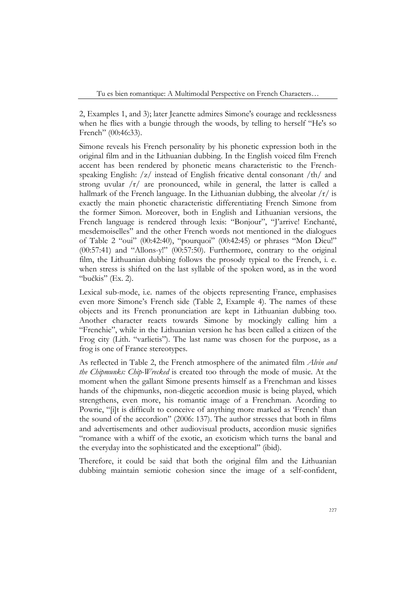Tu es bien romantique: A Multimodal Perspective on French Characters…

2, Examples 1, and 3); later Jeanette admires Simone's courage and recklessness when he flies with a bungie through the woods, by telling to herself "He's so French" (00:46:33).

Simone reveals his French personality by his phonetic expression both in the original film and in the Lithuanian dubbing. In the English voiced film French accent has been rendered by phonetic means characteristic to the Frenchspeaking English: /z/ instead of English fricative dental consonant /th/ and strong uvular  $\frac{r}{r}$  are pronounced, while in general, the latter is called a hallmark of the French language. In the Lithuanian dubbing, the alveolar  $\frac{r}{i}$  is exactly the main phonetic characteristic differentiating French Simone from the former Simon. Moreover, both in English and Lithuanian versions, the French language is rendered through lexis: "Bonjour", "J'arrive! Enchanté, mesdemoiselles" and the other French words not mentioned in the dialogues of Table 2 "oui" (00:42:40), "pourquoi" (00:42:45) or phrases "Mon Dieu!" (00:57:41) and "Allons-y!" (00:57:50). Furthermore, contrary to the original film, the Lithuanian dubbing follows the prosody typical to the French, i. e. when stress is shifted on the last syllable of the spoken word, as in the word "bučkis" (Ex. 2).

Lexical sub-mode, i.e. names of the objects representing France, emphasises even more Simone's French side (Table 2, Example 4). The names of these objects and its French pronunciation are kept in Lithuanian dubbing too. Another character reacts towards Simone by mockingly calling him a "Frenchie", while in the Lithuanian version he has been called a citizen of the Frog city (Lith. "varlietis"). The last name was chosen for the purpose, as a frog is one of France stereotypes.

As reflected in Table 2, the French atmosphere of the animated film *Alvin and the Chipmunks: Chip-Wrecked* is created too through the mode of music. At the moment when the gallant Simone presents himself as a Frenchman and kisses hands of the chipmunks, non-diegetic accordion music is being played, which strengthens, even more, his romantic image of a Frenchman. Acording to Powrie, "[i]t is difficult to conceive of anything more marked as 'French' than the sound of the accordion" (2006: 137). The author stresses that both in films and advertisements and other audiovisual products, accordion music signifies "romance with a whiff of the exotic, an exoticism which turns the banal and the everyday into the sophisticated and the exceptional" (ibid).

Therefore, it could be said that both the original film and the Lithuanian dubbing maintain semiotic cohesion since the image of a self-confident,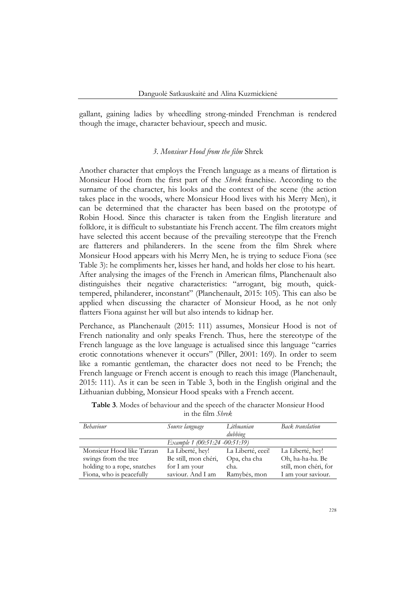gallant, gaining ladies by wheedling strong-minded Frenchman is rendered though the image, character behaviour, speech and music.

#### *3. Monsieur Hood from the film* Shrek

Another character that employs the French language as a means of flirtation is Monsieur Hood from the first part of the *Shrek* franchise. According to the surname of the character, his looks and the context of the scene (the action takes place in the woods, where Monsieur Hood lives with his Merry Men), it can be determined that the character has been based on the prototype of Robin Hood. Since this character is taken from the English literature and folklore, it is difficult to substantiate his French accent. The film creators might have selected this accent because of the prevailing stereotype that the French are flatterers and philanderers. In the scene from the film Shrek where Monsieur Hood appears with his Merry Men, he is trying to seduce Fiona (see Table 3): he compliments her, kisses her hand, and holds her close to his heart. After analysing the images of the French in American films, Planchenault also distinguishes their negative characteristics: "arrogant, big mouth, quicktempered, philanderer, inconstant" (Planchenault, 2015: 105). This can also be applied when discussing the character of Monsieur Hood, as he not only flatters Fiona against her will but also intends to kidnap her.

Perchance, as Planchenault (2015: 111) assumes, Monsieur Hood is not of French nationality and only speaks French. Thus, here the stereotype of the French language as the love language is actualised since this language "carries erotic connotations whenever it occurs" (Piller, 2001: 169). In order to seem like a romantic gentleman, the character does not need to be French; the French language or French accent is enough to reach this image (Planchenault, 2015: 111). As it can be seen in Table 3, both in the English original and the Lithuanian dubbing, Monsieur Hood speaks with a French accent.

|                             | $111 \, \text{L11} \cup 11111 \cup 11111$ |                       |                       |
|-----------------------------|-------------------------------------------|-----------------------|-----------------------|
| <b>Behaviour</b>            | Source language                           | Lithuanian<br>dubbing | Back translation      |
|                             | Example 1 (00:51:24 -00:51:39)            |                       |                       |
| Monsieur Hood like Tarzan   | La Liberté, hey!                          | La Liberté, eeei!     | La Liberté, hey!      |
| swings from the tree        | Be still, mon chéri,                      | Opa, cha cha          | Oh, ha-ha-ha. Be      |
| holding to a rope, snatches | for I am your                             | cha.                  | still, mon chéri, for |

Ramybės, mon

saviour. And I am

Fiona, who is peacefully

**Table 3**. Modes of behaviour and the speech of the character Monsieur Hood in the film *Shrek*

I am your saviour.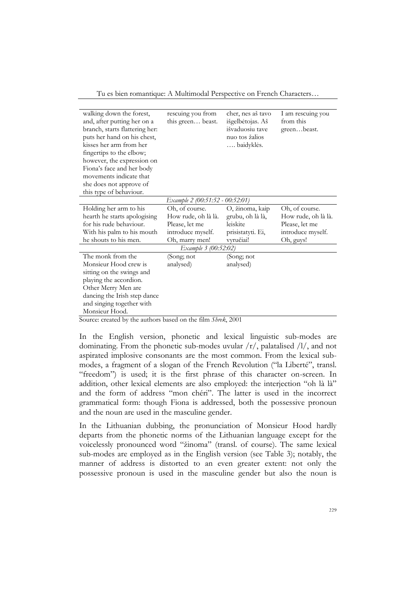Tu es bien romantique: A Multimodal Perspective on French Characters…

| walking down the forest,       | rescuing you from               | cher, nes aš tavo | I am rescuing you   |
|--------------------------------|---------------------------------|-------------------|---------------------|
| and, after putting her on a    | this green beast.               | išgelbėtojas. Aš  | from this           |
| branch, starts flattering her: |                                 | išvaduosiu tave   | greenbeast.         |
| puts her hand on his chest,    |                                 | nuo tos žalios    |                     |
| kisses her arm from her        |                                 | baidyklės.        |                     |
| fingertips to the elbow;       |                                 |                   |                     |
| however, the expression on     |                                 |                   |                     |
| Fiona's face and her body      |                                 |                   |                     |
| movements indicate that        |                                 |                   |                     |
| she does not approve of        |                                 |                   |                     |
| this type of behaviour.        |                                 |                   |                     |
|                                | Example 2 (00:51:52 - 00:52:01) |                   |                     |
| Holding her arm to his         | Oh, of course.                  | O, žinoma, kaip   | Oh, of course.      |
| hearth he starts apologising   | How rude, oh là là.             | grubu, oh là là,  | How rude, oh là là. |
| for his rude behaviour.        | Please, let me                  | leiskite          | Please, let me      |
| With his palm to his mouth     | introduce myself.               | prisistatyti. Ei, | introduce myself.   |
| he shouts to his men.          | Oh, marry men!                  | vyručiai!         | Oh, guys!           |
|                                | Example 3 (00:52:02)            |                   |                     |
| The monk from the              | (Song; not                      | (Song; not        |                     |
| Monsieur Hood crew is          | analysed)                       | analysed)         |                     |
| sitting on the swings and      |                                 |                   |                     |
| playing the accordion.         |                                 |                   |                     |
| Other Merry Men are            |                                 |                   |                     |
| dancing the Irish step dance   |                                 |                   |                     |
| and singing together with      |                                 |                   |                     |
| Monsieur Hood.                 |                                 |                   |                     |

Source: created by the authors based on the film *Shrek*, 2001

In the English version, phonetic and lexical linguistic sub-modes are dominating. From the phonetic sub-modes uvular  $/r/$ , palatalised  $/1/$ , and not aspirated implosive consonants are the most common. From the lexical submodes, a fragment of a slogan of the French Revolution ("la Liberté", transl. "freedom") is used; it is the first phrase of this character on-screen. In addition, other lexical elements are also employed: the interjection "oh là là" and the form of address "mon chéri". The latter is used in the incorrect grammatical form: though Fiona is addressed, both the possessive pronoun and the noun are used in the masculine gender.

In the Lithuanian dubbing, the pronunciation of Monsieur Hood hardly departs from the phonetic norms of the Lithuanian language except for the voicelessly pronounced word "žinoma" (transl. of course). The same lexical sub-modes are employed as in the English version (see Table 3); notably, the manner of address is distorted to an even greater extent: not only the possessive pronoun is used in the masculine gender but also the noun is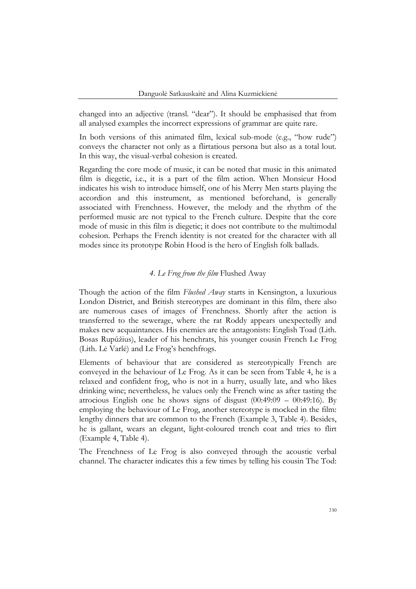changed into an adjective (transl. "dear"). It should be emphasised that from all analysed examples the incorrect expressions of grammar are quite rare.

In both versions of this animated film, lexical sub-mode (e.g., "how rude") conveys the character not only as a flirtatious persona but also as a total lout. In this way, the visual-verbal cohesion is created.

Regarding the core mode of music, it can be noted that music in this animated film is diegetic, i.e., it is a part of the film action. When Monsieur Hood indicates his wish to introduce himself, one of his Merry Men starts playing the accordion and this instrument, as mentioned beforehand, is generally associated with Frenchness. However, the melody and the rhythm of the performed music are not typical to the French culture. Despite that the core mode of music in this film is diegetic; it does not contribute to the multimodal cohesion. Perhaps the French identity is not created for the character with all modes since its prototype Robin Hood is the hero of English folk ballads.

# *4. Le Frog from the film* Flushed Away

Though the action of the film *Flushed Away* starts in Kensington, a luxurious London District, and British stereotypes are dominant in this film, there also are numerous cases of images of Frenchness. Shortly after the action is transferred to the sewerage, where the rat Roddy appears unexpectedly and makes new acquaintances. His enemies are the antagonists: English Toad (Lith. Bosas Rupūžius), leader of his henchrats, his younger cousin French Le Frog (Lith. Lė Varlė) and Le Frog's henchfrogs.

Elements of behaviour that are considered as stereotypically French are conveyed in the behaviour of Le Frog. As it can be seen from Table 4, he is a relaxed and confident frog, who is not in a hurry, usually late, and who likes drinking wine; nevertheless, he values only the French wine as after tasting the atrocious English one he shows signs of disgust (00:49:09 – 00:49:16). By employing the behaviour of Le Frog, another stereotype is mocked in the film: lengthy dinners that are common to the French (Example 3, Table 4). Besides, he is gallant, wears an elegant, light-coloured trench coat and tries to flirt (Example 4, Table 4).

The Frenchness of Le Frog is also conveyed through the acoustic verbal channel. The character indicates this a few times by telling his cousin The Tod: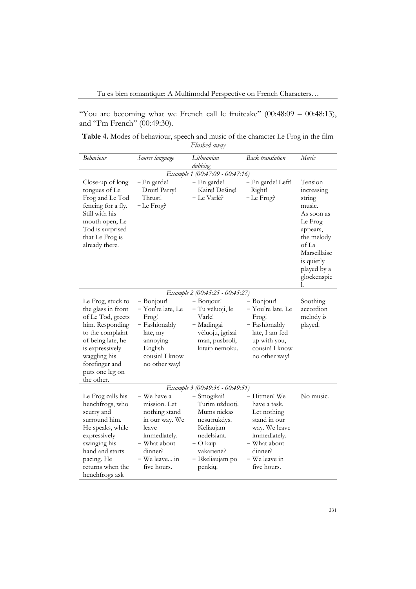Tu es bien romantique: A Multimodal Perspective on French Characters…

"You are becoming what we French call le fruitcake"  $(00:48:09 - 00:48:13)$ , and "I'm French" (00:49:30).

**Table 4.** Modes of behaviour, speech and music of the character Le Frog in the film *Flushed away*

| Behaviour                                                                                                                                                                                                      | Source language                                                                                                                                    | Lithuanian<br>dubbing                                                                                                                               | <b>Back</b> translation                                                                                                                                 | Music                                                                                                                                                                   |
|----------------------------------------------------------------------------------------------------------------------------------------------------------------------------------------------------------------|----------------------------------------------------------------------------------------------------------------------------------------------------|-----------------------------------------------------------------------------------------------------------------------------------------------------|---------------------------------------------------------------------------------------------------------------------------------------------------------|-------------------------------------------------------------------------------------------------------------------------------------------------------------------------|
|                                                                                                                                                                                                                |                                                                                                                                                    | Example 1 (00:47:09 - 00:47:16)                                                                                                                     |                                                                                                                                                         |                                                                                                                                                                         |
| Close-up of long<br>tongues of Le<br>Frog and Le Tod<br>fencing for a fly.<br>Still with his<br>mouth open, Le<br>Tod is surprised<br>that Le Frog is<br>already there.                                        | - En garde!<br>Droit! Parry!<br>Thrust!<br>-Le Frog?                                                                                               | - En garde!<br>Kairę! Dešinę!<br>– Le Varlė?                                                                                                        | - En garde! Left!<br>Right!<br>$-Le$ Frog?                                                                                                              | Tension<br>increasing<br>string<br>music.<br>As soon as<br>Le Frog<br>appears,<br>the melody<br>of La<br>Marseillaise<br>is quietly<br>played by a<br>glockenspie<br>l. |
|                                                                                                                                                                                                                |                                                                                                                                                    | Example 2 (00:45:25 - 00:45:27)                                                                                                                     |                                                                                                                                                         |                                                                                                                                                                         |
| Le Frog, stuck to<br>the glass in front<br>of Le Tod, greets<br>him. Responding<br>to the complaint<br>of being late, he<br>is expressively<br>waggling his<br>forefinger and<br>puts one leg on<br>the other. | - Bonjour!<br>– You're late, Le<br>Frog!<br>- Fashionably<br>late, my<br>annoying<br>English<br>cousin! I know<br>no other way!                    | - Bonjour!<br>- Tu vėluoji, le<br>Varlė!<br>- Madingai<br>vėluoju, įgrisai<br>man, pusbroli,<br>kitaip nemoku.                                      | - Bonjour!<br>- You're late, Le<br>Frog!<br>- Fashionably<br>late, I am fed<br>up with you,<br>cousin! I know<br>no other way!                          | Soothing<br>accordion<br>melody is<br>played.                                                                                                                           |
|                                                                                                                                                                                                                |                                                                                                                                                    | Example 3 (00:49:36 - 00:49:51)                                                                                                                     |                                                                                                                                                         |                                                                                                                                                                         |
| Le Frog calls his<br>henchfrogs, who<br>scurry and<br>surround him.<br>He speaks, while<br>expressively<br>swinging his<br>hand and starts<br>pacing. He<br>returns when the<br>henchfrogs ask                 | - We have a<br>mission. Let<br>nothing stand<br>in our way. We<br>leave<br>immediately.<br>- What about<br>dinner?<br>- We leave in<br>five hours. | - Smogikai!<br>Turim užduoti.<br>Mums niekas<br>nesutrukdys.<br>Keliaujam<br>nedelsiant.<br>$-$ O kaip<br>vakarienė?<br>- Iškeliaujam po<br>penkių. | - Hitmen! We<br>have a task.<br>Let nothing<br>stand in our<br>way. We leave<br>immediately.<br>- What about<br>dinner?<br>– We leave in<br>five hours. | No music.                                                                                                                                                               |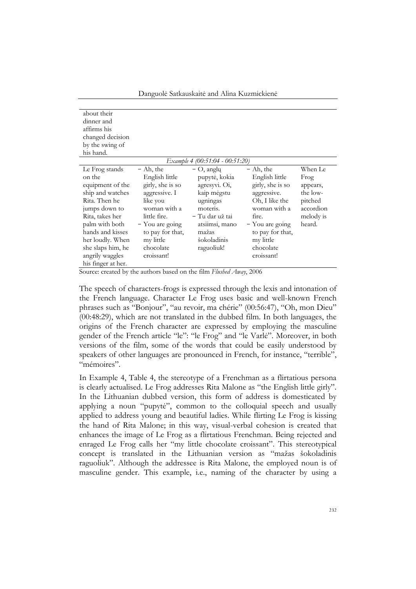Danguolė Satkauskaitė and Alina Kuzmickienė

| about their               |                   |                                 |                  |           |
|---------------------------|-------------------|---------------------------------|------------------|-----------|
| dinner and<br>affirms his |                   |                                 |                  |           |
|                           |                   |                                 |                  |           |
| changed decision          |                   |                                 |                  |           |
| by the swing of           |                   |                                 |                  |           |
| his hand.                 |                   |                                 |                  |           |
|                           |                   | Example 4 (00:51:04 - 00:51:20) |                  |           |
| Le Frog stands            | $-$ Ah, the       | $-$ O, anglų                    | $-$ Ah, the      | When Le   |
| on the                    | English little    | pupytė, kokia                   | English little   | Frog      |
| equipment of the          | girly, she is so  | agresyvi. Oi,                   | girly, she is so | appears,  |
| ship and watches          | aggressive. I     | kaip mėgstu                     | aggressive.      | the low-  |
| Rita. Then he             | like you          | ugningas                        | Oh, I like the   | pitched   |
| jumps down to             | woman with a      | moteris.                        | woman with a     | accordion |
| Rita, takes her           | little fire.      | – Tu dar už tai                 | fire.            | melody is |
| palm with both            | $-$ You are going | atsiimsi, mano                  | - You are going  | heard.    |
| hands and kisses          | to pay for that,  | mažas                           | to pay for that, |           |
| her loudly. When          | my little         | šokoladinis                     | my little        |           |
| she slaps him, he         | chocolate         | raguoliuk!                      | chocolate        |           |
| angrily waggles           | croissant!        |                                 | croissant!       |           |
| his finger at her.        |                   |                                 |                  |           |

Source: created by the authors based on the film *Flushed Away*, 2006

The speech of characters-frogs is expressed through the lexis and intonation of the French language. Character Le Frog uses basic and well-known French phrases such as "Bonjour", "au revoir, ma chérie" (00:56:47), "Oh, mon Dieu" (00:48:29), which are not translated in the dubbed film. In both languages, the origins of the French character are expressed by employing the masculine gender of the French article "le": "le Frog" and "le Varlė". Moreover, in both versions of the film, some of the words that could be easily understood by speakers of other languages are pronounced in French, for instance, "terrible", "mémoires".

In Example 4, Table 4, the stereotype of a Frenchman as a flirtatious persona is clearly actualised. Le Frog addresses Rita Malone as "the English little girly". In the Lithuanian dubbed version, this form of address is domesticated by applying a noun "pupytė", common to the colloquial speech and usually applied to address young and beautiful ladies. While flirting Le Frog is kissing the hand of Rita Malone; in this way, visual-verbal cohesion is created that enhances the image of Le Frog as a flirtatious Frenchman. Being rejected and enraged Le Frog calls her "my little chocolate croissant". This stereotypical concept is translated in the Lithuanian version as "mažas šokoladinis raguoliuk". Although the addressee is Rita Malone, the employed noun is of masculine gender. This example, i.e., naming of the character by using a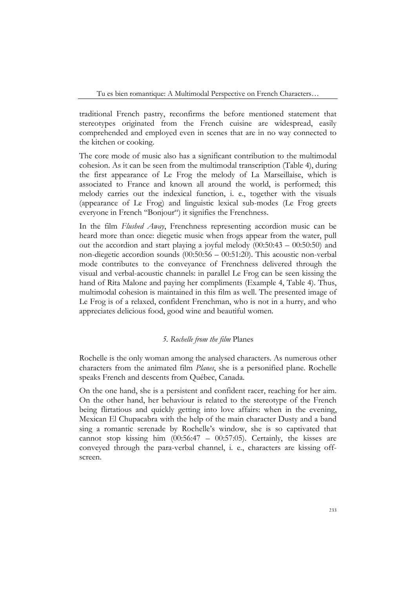traditional French pastry, reconfirms the before mentioned statement that stereotypes originated from the French cuisine are widespread, easily comprehended and employed even in scenes that are in no way connected to the kitchen or cooking.

The core mode of music also has a significant contribution to the multimodal cohesion. As it can be seen from the multimodal transcription (Table 4), during the first appearance of Le Frog the melody of La Marseillaise, which is associated to France and known all around the world, is performed; this melody carries out the indexical function, i. e., together with the visuals (appearance of Le Frog) and linguistic lexical sub-modes (Le Frog greets everyone in French "Bonjour") it signifies the Frenchness.

In the film *Flushed Away*, Frenchness representing accordion music can be heard more than once: diegetic music when frogs appear from the water, pull out the accordion and start playing a joyful melody (00:50:43 – 00:50:50) and non-diegetic accordion sounds (00:50:56 – 00:51:20). This acoustic non-verbal mode contributes to the conveyance of Frenchness delivered through the visual and verbal-acoustic channels: in parallel Le Frog can be seen kissing the hand of Rita Malone and paying her compliments (Example 4, Table 4). Thus, multimodal cohesion is maintained in this film as well. The presented image of Le Frog is of a relaxed, confident Frenchman, who is not in a hurry, and who appreciates delicious food, good wine and beautiful women.

### *5. Rochelle from the film* Planes

Rochelle is the only woman among the analysed characters. As numerous other characters from the animated film *Planes*, she is a personified plane. Rochelle speaks French and descents from Québec, Canada.

On the one hand, she is a persistent and confident racer, reaching for her aim. On the other hand, her behaviour is related to the stereotype of the French being flirtatious and quickly getting into love affairs: when in the evening, Mexican El Chupacabra with the help of the main character Dusty and a band sing a romantic serenade by Rochelle's window, she is so captivated that cannot stop kissing him (00:56:47 – 00:57:05). Certainly, the kisses are conveyed through the para-verbal channel, i. e., characters are kissing offscreen.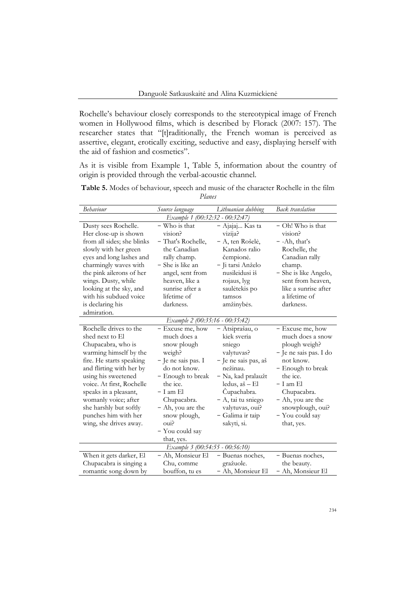Rochelle's behaviour closely corresponds to the stereotypical image of French women in Hollywood films, which is described by Florack (2007: 157). The researcher states that "[t]raditionally, the French woman is perceived as assertive, elegant, erotically exciting, seductive and easy, displaying herself with the aid of fashion and cosmetics".

As it is visible from Example 1, Table 5, information about the country of origin is provided through the verbal-acoustic channel.

| Table 5. Modes of behaviour, speech and music of the character Rochelle in the film |        |  |  |  |
|-------------------------------------------------------------------------------------|--------|--|--|--|
|                                                                                     | Planes |  |  |  |

| Behaviour                                                                                                                                                                                                                                                                                                                          | Source language                                                                                                                                                                                                                                | Lithuanian dubbing                                                                                                                                                                                                            | Back translation                                                                                                                                                                                                                    |  |
|------------------------------------------------------------------------------------------------------------------------------------------------------------------------------------------------------------------------------------------------------------------------------------------------------------------------------------|------------------------------------------------------------------------------------------------------------------------------------------------------------------------------------------------------------------------------------------------|-------------------------------------------------------------------------------------------------------------------------------------------------------------------------------------------------------------------------------|-------------------------------------------------------------------------------------------------------------------------------------------------------------------------------------------------------------------------------------|--|
| Example 1 (00:32:32 - 00:32:47)                                                                                                                                                                                                                                                                                                    |                                                                                                                                                                                                                                                |                                                                                                                                                                                                                               |                                                                                                                                                                                                                                     |  |
| Dusty sees Rochelle.<br>Her close-up is shown<br>from all sides; she blinks<br>slowly with her green<br>eyes and long lashes and<br>charmingly waves with<br>the pink allerons of her<br>wings. Dusty, while<br>looking at the sky, and<br>with his subdued voice<br>is declaring his<br>admiration.                               | - Who is that<br>vision?<br>- That's Rochelle,<br>the Canadian<br>rally champ.<br>- She is like an<br>angel, sent from<br>heaven, like a<br>sunrise after a<br>lifetime of<br>darkness.                                                        | - Ajajaj Kas ta<br>vizija?<br>- A, ten Rošelė,<br>Kanados ralio<br>čempionė.<br>- Ji tarsi Anželo<br>nusileidusi iš<br>rojaus, lyg<br>saulėtekis po<br>tamsos<br>amžinybės.                                                   | - Oh! Who is that<br>vision?<br>$-$ -Ah, that's<br>Rochelle, the<br>Canadian rally<br>champ.<br>- She is like Angelo,<br>sent from heaven,<br>like a sunrise after<br>a lifetime of<br>darkness.                                    |  |
|                                                                                                                                                                                                                                                                                                                                    | Example 2 (00:35:16 - 00:35:42)                                                                                                                                                                                                                |                                                                                                                                                                                                                               |                                                                                                                                                                                                                                     |  |
| Rochelle drives to the<br>shed next to El<br>Chupacabra, who is<br>warming himself by the<br>fire. He starts speaking<br>and flirting with her by<br>using his sweetened<br>voice. At first, Rochelle<br>speaks in a pleasant,<br>womanly voice; after<br>she harshly but softly<br>punches him with her<br>wing, she drives away. | - Excuse me, how<br>much does a<br>snow plough<br>weigh?<br>- Je ne sais pas. I<br>do not know.<br>- Enough to break<br>the ice.<br>– I am El<br>Chupacabra.<br>- Ah, you are the<br>snow plough,<br>$\alpha$<br>- You could say<br>that, yes. | - Atsiprašau, o<br>kiek sveria<br>sniego<br>valytuvas?<br>- Je ne sais pas, aš<br>nežinau.<br>- Na, kad pralaužt<br>ledus, aš - El<br>Cupachabra.<br>- A, tai tu sniego<br>valytuvas, oui?<br>- Galima ir taip<br>sakyti, si. | - Excuse me, how<br>much does a snow<br>plough weigh?<br>- Je ne sais pas. I do<br>not know.<br>- Enough to break<br>the ice.<br>– I am El<br>Chupacabra.<br>- Ah, you are the<br>snowplough, oui?<br>- You could say<br>that, yes. |  |
|                                                                                                                                                                                                                                                                                                                                    | Example 3 (00:54:55 - 00:56:10)                                                                                                                                                                                                                |                                                                                                                                                                                                                               |                                                                                                                                                                                                                                     |  |
| When it gets darker, El<br>Chupacabra is singing a<br>romantic song down by                                                                                                                                                                                                                                                        | - Ah, Monsieur El<br>Chu, comme<br>bouffon, tu es                                                                                                                                                                                              | - Buenas noches,<br>gražuole.<br>- Ah, Monsieur El                                                                                                                                                                            | - Buenas noches,<br>the beauty.<br>- Ah, Monsieur El                                                                                                                                                                                |  |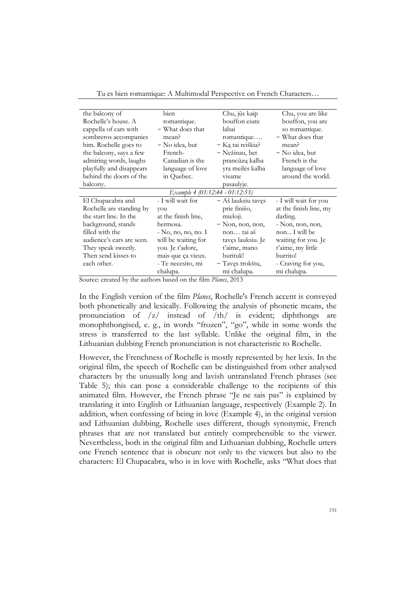| the balcony of            | bien                            | Chu, jūs kaip      | Chu, you are like      |
|---------------------------|---------------------------------|--------------------|------------------------|
| Rochelle's house. A       | romantique.                     | bouffon esate      | bouffon, you are       |
| cappella of cars with     | - What does that                | labai              | so romantique.         |
| sombreros accompanies     | mean?                           | romantique         | - What does that       |
| him. Rochelle goes to     | - No idea, but                  | - Ką tai reiškia?  | mean?                  |
| the balcony, says a few   | French-                         | - Nežinau, bet     | - No idea, but         |
| admiring words, laughs    | Canadian is the                 | prancūzų kalba     | French is the          |
| playfully and disappears  | language of love                | yra meilės kalba   | language of love       |
| behind the doors of the   | in Quebec.                      | visame             | around the world.      |
| balcony.                  |                                 | pasaulyje.         |                        |
|                           | Example 4 (01:12:44 - 01:12:53) |                    |                        |
| El Chupacabra and         | - I will wait for               | - Aš lauksiu taves | - I will wait for you  |
| Rochelle are standing by  | you                             | prie finišo,       | at the finish line, my |
| the start line. In the    | at the finish line,             | mieloji.           | darling.               |
| background, stands        | hermosa.                        | $-$ Non, non, non, | - Non, non, non,       |
| filled with the           | - No, no, no, no. I             | non tai aš         | non I will be          |
| audience's cars are seen. | will be waiting for             | tavęs lauksiu. Je  | waiting for you. Je    |
| They speak sweetly.       | you. Je t'adore,                | t'aime, mano       | t'aime, my little      |
| Then send kisses to       | mais que ça vieux.              | burituk!           | burrito!               |
| each other.               | - Te necesito, mi               | – Tavęs trokštu,   | - Craving for you,     |
|                           | chalupa.                        | mi chalupa.        | mi chalupa.            |

Tu es bien romantique: A Multimodal Perspective on French Characters…

Source: created by the authors based on the film *Planes*, 2013

In the English version of the film *Planes*, Rochelle's French accent is conveyed both phonetically and lexically. Following the analysis of phonetic means, the pronunciation of /z/ instead of /th/ is evident; diphthongs are monophthongised, e. g., in words "frozen", "go", while in some words the stress is transferred to the last syllable. Unlike the original film, in the Lithuanian dubbing French pronunciation is not characteristic to Rochelle.

However, the Frenchness of Rochelle is mostly represented by her lexis. In the original film, the speech of Rochelle can be distinguished from other analysed characters by the unusually long and lavish untranslated French phrases (see Table 5); this can pose a considerable challenge to the recipients of this animated film. However, the French phrase "Je ne sais pas" is explained by translating it into English or Lithuanian language, respectively (Example 2). In addition, when confessing of being in love (Example 4), in the original version and Lithuanian dubbing, Rochelle uses different, though synonymic, French phrases that are not translated but entirely comprehensible to the viewer. Nevertheless, both in the original film and Lithuanian dubbing, Rochelle utters one French sentence that is obscure not only to the viewers but also to the characters: El Chupacabra, who is in love with Rochelle, asks "What does that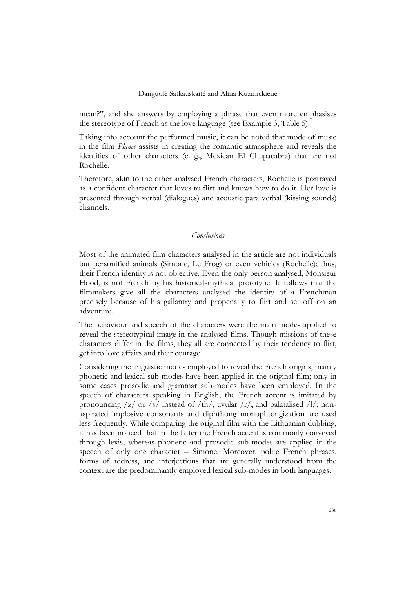mean?", and she answers by employing a phrase that even more emphasises the stereotype of French as the love language (see Example 3, Table 5).

Taking into account the performed music, it can be noted that mode of music in the film *Planes* assists in creating the romantic atmosphere and reveals the identities of other characters (e. g., Mexican El Chupacabra) that are not Rochelle.

Therefore, akin to the other analysed French characters, Rochelle is portrayed as a confident character that loves to flirt and knows how to do it. Her love is presented through verbal (dialogues) and acoustic para verbal (kissing sounds) channels.

## *Conclusions*

Most of the animated film characters analysed in the article are not individuals but personified animals (Simone, Le Frog) or even vehicles (Rochelle); thus, their French identity is not objective. Even the only person analysed, Monsieur Hood, is not French by his historical-mythical prototype. It follows that the filmmakers give all the characters analysed the identity of a Frenchman precisely because of his gallantry and propensity to flirt and set off on an adventure.

The behaviour and speech of the characters were the main modes applied to reveal the stereotypical image in the analysed films. Though missions of these characters differ in the films, they all are connected by their tendency to flirt, get into love affairs and their courage.

Considering the linguistic modes employed to reveal the French origins, mainly phonetic and lexical sub-modes have been applied in the original film; only in some cases prosodic and grammar sub-modes have been employed. In the speech of characters speaking in English, the French accent is imitated by pronouncing  $\frac{z}{\alpha}$  or  $\frac{s}{\alpha}$  instead of  $\frac{th}{,}$  uvular  $\frac{r}{,}$  and palatalised  $\frac{l}{,}$  nonaspirated implosive consonants and diphthong monophtongization are used less frequently. While comparing the original film with the Lithuanian dubbing, it has been noticed that in the latter the French accent is commonly conveyed through lexis, whereas phonetic and prosodic sub-modes are applied in the speech of only one character – Simone. Moreover, polite French phrases, forms of address, and interjections that are generally understood from the context are the predominantly employed lexical sub-modes in both languages.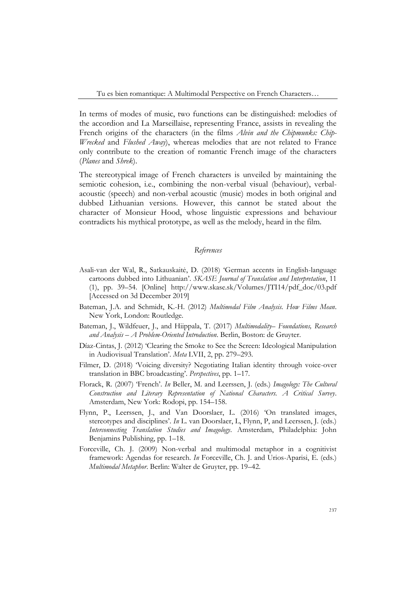Tu es bien romantique: A Multimodal Perspective on French Characters…

In terms of modes of music, two functions can be distinguished: melodies of the accordion and La Marseillaise, representing France, assists in revealing the French origins of the characters (in the films *Alvin and the Chipmunks: Chip-Wrecked* and *Flushed Away*), whereas melodies that are not related to France only contribute to the creation of romantic French image of the characters (*Planes* and *Shrek*).

The stereotypical image of French characters is unveiled by maintaining the semiotic cohesion, i.e., combining the non-verbal visual (behaviour), verbalacoustic (speech) and non-verbal acoustic (music) modes in both original and dubbed Lithuanian versions. However, this cannot be stated about the character of Monsieur Hood, whose linguistic expressions and behaviour contradicts his mythical prototype, as well as the melody, heard in the film.

## *References*

- Asali-van der Wal, R., Satkauskaitė, D. (2018) 'German accents in English-language cartoons dubbed into Lithuanian'. *SKASE Journal of Translation and Interpretation*, 11 (1), pp. 39–54. [Online] [http://www.skase.sk/Volumes/JTI14/pdf\\_doc/03.pdf](http://www.skase.sk/Volumes/JTI14/pdf_doc/03.pdf) [Accessed on 3d December 2019]
- Bateman, J.A. and Schmidt, K.-H. (2012) *Multimodal Film Analysis. How Films Mean*. New York, London: Routledge.
- Bateman, J., Wildfeuer, J., and Hiippala, T. (2017) *Multimodality– Foundations, Research and Analysis – A Problem-Oriented Introduction*. Berlin, Boston: de Gruyter.
- Díaz-Cintas, J. (2012) 'Clearing the Smoke to See the Screen: Ideological Manipulation in Audiovisual Translation'. *Meta* LVII, 2, pp. 279–293.
- Filmer, D. (2018) 'Voicing diversity? Negotiating Italian identity through voice-over translation in BBC broadcasting'. *Perspectives*, pp. 1–17.
- Florack, R. (2007) 'French'. *In* Beller, M. and Leerssen, J. (eds.) *Imagology: The Cultural Construction and Literary Representation of National Characters. A Critical Survey*. Amsterdam, New York: Rodopi, pp. 154–158.
- Flynn, P., Leerssen, J., and Van Doorslaer, L. (2016) 'On translated images, stereotypes and disciplines'. *In* L. van Doorslaer, L, Flynn, P, and Leerssen, J. (eds.) *Interconnecting Translation Studies and Imagology*. Amsterdam, Philadelphia: John Benjamins Publishing, pp. 1–18.
- Forceville, Ch. J. (2009) Non-verbal and multimodal metaphor in a cognitivist framework: Agendas for research. *In* Forceville, Ch. J. and Urios-Aparisi, E. (eds.) *Multimodal Metaphor*. Berlin: Walter de Gruyter, pp. 19–42.